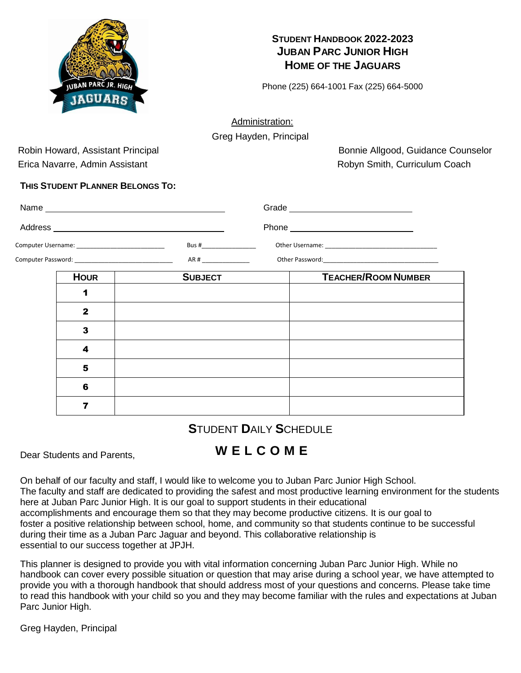

# **STUDENT HANDBOOK 2022-2023 JUBAN PARC JUNIOR HIGH HOME OF THE JAGUARS**

Phone (225) 664-1001 Fax (225) 664-5000

Administration:

Greg Hayden, Principal

Erica Navarre, Admin Assistant **Robyn Smith, Curriculum Coach** Robyn Smith, Curriculum Coach

Robin Howard, Assistant Principal Bonnie Allgood, Guidance Counselor

# **THIS STUDENT PLANNER BELONGS TO:**

| Computer Username: ___________________________________ |              | Bus # Particular Property Property and Property Property and Property Property and Property Property and Property Property and Property Property and Property Property and Property Property and Property Property Property Pr | Other Username: University of the Username of the Username of the Username of the Username of the USE of the U |                            |  |  |
|--------------------------------------------------------|--------------|--------------------------------------------------------------------------------------------------------------------------------------------------------------------------------------------------------------------------------|----------------------------------------------------------------------------------------------------------------|----------------------------|--|--|
|                                                        |              |                                                                                                                                                                                                                                |                                                                                                                |                            |  |  |
|                                                        | <b>HOUR</b>  | <b>SUBJECT</b>                                                                                                                                                                                                                 |                                                                                                                | <b>TEACHER/ROOM NUMBER</b> |  |  |
|                                                        | 1            |                                                                                                                                                                                                                                |                                                                                                                |                            |  |  |
|                                                        | $\mathbf{2}$ |                                                                                                                                                                                                                                |                                                                                                                |                            |  |  |
|                                                        | 3            |                                                                                                                                                                                                                                |                                                                                                                |                            |  |  |
|                                                        | 4            |                                                                                                                                                                                                                                |                                                                                                                |                            |  |  |
|                                                        | 5            |                                                                                                                                                                                                                                |                                                                                                                |                            |  |  |
|                                                        | 6            |                                                                                                                                                                                                                                |                                                                                                                |                            |  |  |
|                                                        | 7            |                                                                                                                                                                                                                                |                                                                                                                |                            |  |  |
|                                                        |              |                                                                                                                                                                                                                                |                                                                                                                |                            |  |  |

# **S**TUDENT **D**AILY **S**CHEDULE

# Dear Students and Parents, **W E L C O M E**

On behalf of our faculty and staff, I would like to welcome you to Juban Parc Junior High School. The faculty and staff are dedicated to providing the safest and most productive learning environment for the students here at Juban Parc Junior High. It is our goal to support students in their educational accomplishments and encourage them so that they may become productive citizens. It is our goal to foster a positive relationship between school, home, and community so that students continue to be successful during their time as a Juban Parc Jaguar and beyond. This collaborative relationship is essential to our success together at JPJH.

This planner is designed to provide you with vital information concerning Juban Parc Junior High. While no handbook can cover every possible situation or question that may arise during a school year, we have attempted to provide you with a thorough handbook that should address most of your questions and concerns. Please take time to read this handbook with your child so you and they may become familiar with the rules and expectations at Juban Parc Junior High.

Greg Hayden, Principal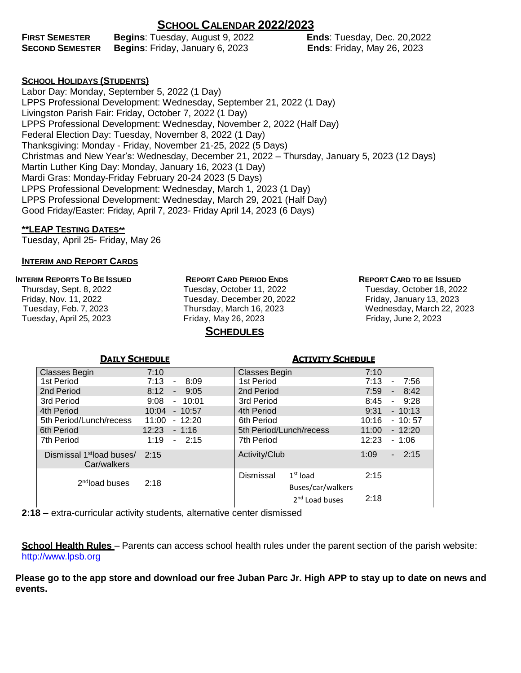# **SCHOOL CALENDAR 2022/2023**

| <b>FIRST SEMESTER</b>  | <b>Begins: Tuesday, August 9, 2022</b> |
|------------------------|----------------------------------------|
| <b>SECOND SEMESTER</b> | Begins: Friday, January 6, 2023        |

**Ends: Tuesday, Dec. 20, 2022 Ends: Friday, May 26, 2023** 

### **SCHOOL HOLIDAYS (STUDENTS)**

Labor Day: Monday, September 5, 2022 (1 Day) LPPS Professional Development: Wednesday, September 21, 2022 (1 Day) Livingston Parish Fair: Friday, October 7, 2022 (1 Day) LPPS Professional Development: Wednesday, November 2, 2022 (Half Day) Federal Election Day: Tuesday, November 8, 2022 (1 Day) Thanksgiving: Monday - Friday, November 21-25, 2022 (5 Days) Christmas and New Year's: Wednesday, December 21, 2022 – Thursday, January 5, 2023 (12 Days) Martin Luther King Day: Monday, January 16, 2023 (1 Day) Mardi Gras: Monday-Friday February 20-24 2023 (5 Days) LPPS Professional Development: Wednesday, March 1, 2023 (1 Day) LPPS Professional Development: Wednesday, March 29, 2021 (Half Day) Good Friday/Easter: Friday, April 7, 2023- Friday April 14, 2023 (6 Days)

#### **\*\*LEAP TESTING DATES\*\***

Tuesday, April 25- Friday, May 26

#### **INTERIM AND REPORT CARDS**

#### **INTERIM REPORTS TO BE ISSUED**

Thursday, Sept. 8, 2022 Friday, Nov. 11, 2022 Tuesday, Feb. 7, 2023 Tuesday, April 25, 2023

**REPORT CARD PERIOD ENDS** Tuesday, October 11, 2022 Tuesday, December 20, 2022 Thursday, March 16, 2023 Friday, May 26, 2023

# **SCHEDULES**

#### **REPORT CARD TO BE ISSUED**

Tuesday, October 18, 2022 Friday, January 13, 2023 Wednesday, March 22, 2023 Friday, June 2, 2023

| <b>DAILY SCHEDULE</b>                                  |                                          | <b>ACTIVITY SCHEDULE</b>                     |                                          |  |  |  |
|--------------------------------------------------------|------------------------------------------|----------------------------------------------|------------------------------------------|--|--|--|
| Classes Begin                                          | 7:10                                     | <b>Classes Begin</b>                         | 7:10                                     |  |  |  |
| 7:13<br>1st Period<br>8:09<br>$\overline{\phantom{a}}$ |                                          | 1st Period                                   | 7:13<br>7:56                             |  |  |  |
| 2nd Period                                             | 8:12<br>9:05<br>$\overline{\phantom{a}}$ | 2nd Period                                   | 7:59<br>8:42<br>$\blacksquare$           |  |  |  |
| 3rd Period                                             | 9:08<br>$-10:01$                         | 3rd Period                                   | 8:45<br>9:28<br>$\overline{\phantom{0}}$ |  |  |  |
| 4th Period                                             | 10:04<br>$-10:57$                        | 4th Period                                   | $-10:13$<br>9:31                         |  |  |  |
| 5th Period/Lunch/recess                                | 11:00<br>$-12:20$                        | 6th Period                                   | 10:16<br>$-10:57$                        |  |  |  |
| 6th Period                                             | 12:23<br>$-1:16$                         | 5th Period/Lunch/recess                      | 11:00<br>$-12:20$                        |  |  |  |
| 7th Period                                             | $-2:15$<br>1:19<br>7th Period            |                                              | 12:23<br>$-1:06$                         |  |  |  |
| Dismissal 1 <sup>st</sup> load buses/<br>Car/walkers   | 2:15                                     | Activity/Club                                | 1:09<br>$-2:15$                          |  |  |  |
| 2 <sup>nd</sup> load buses                             | 2:18                                     | Dismissal<br>$1st$ load<br>Buses/car/walkers | 2:15<br>2:18                             |  |  |  |
|                                                        |                                          | 2 <sup>nd</sup> Load buses                   |                                          |  |  |  |

**2:18** – extra-curricular activity students, alternative center dismissed

**School Health Rules** – Parents can access school health rules under the parent section of the parish website: [http://www.lpsb.org](http://www.lpsb.org/)

**Please go to the app store and download our free Juban Parc Jr. High APP to stay up to date on news and events.**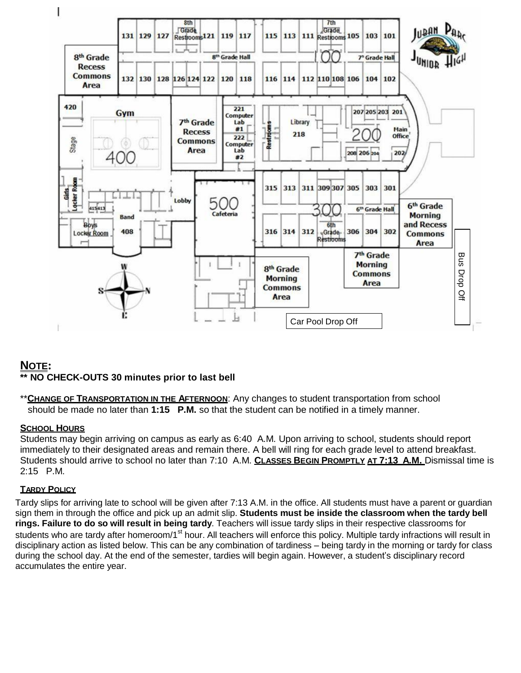

# **NOTE:**

# **\*\* NO CHECK-OUTS 30 minutes prior to last bell**

\*\***CHANGE OF TRANSPORTATION IN THE AFTERNOON**: Any changes to student transportation from school should be made no later than **1:15 P.M.** so that the student can be notified in a timely manner.

# **SCHOOL HOURS**

Students may begin arriving on campus as early as 6:40 A.M. Upon arriving to school, students should report immediately to their designated areas and remain there. A bell will ring for each grade level to attend breakfast. Students should arrive to school no later than 7:10 A.M. **CLASSES BEGIN PROMPTLY AT 7:13 A.M.** Dismissal time is 2:15 P.M.

# **TARDY POLICY**

Tardy slips for arriving late to school will be given after 7:13 A.M. in the office. All students must have a parent or guardian sign them in through the office and pick up an admit slip. **Students must be inside the classroom when the tardy bell rings. Failure to do so will result in being tardy**. Teachers will issue tardy slips in their respective classrooms for students who are tardy after homeroom/1<sup>st</sup> hour. All teachers will enforce this policy. Multiple tardy infractions will result in disciplinary action as listed below. This can be any combination of tardiness – being tardy in the morning or tardy for class during the school day. At the end of the semester, tardies will begin again. However, a student's disciplinary record accumulates the entire year.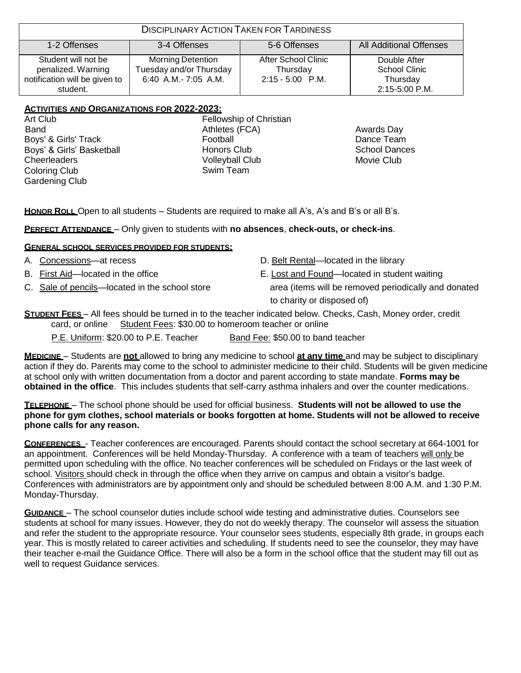| <b>DISCIPLINARY ACTION TAKEN FOR TARDINESS</b>                                         |                                                                             |                                                     |                                                             |  |  |  |
|----------------------------------------------------------------------------------------|-----------------------------------------------------------------------------|-----------------------------------------------------|-------------------------------------------------------------|--|--|--|
| <b>All Additional Offenses</b><br>5-6 Offenses<br>1-2 Offenses<br>3-4 Offenses         |                                                                             |                                                     |                                                             |  |  |  |
| Student will not be<br>penalized. Warning<br>notification will be given to<br>student. | <b>Morning Detention</b><br>Tuesday and/or Thursday<br>6:40 A.M.- 7:05 A.M. | After School Clinic<br>Thursday<br>2:15 - 5:00 P.M. | Double After<br>School Clinic<br>Thursday<br>2:15-5:00 P.M. |  |  |  |

### **ACTIVITIES AND ORGANIZATIONS FOR 2022-2023:**

Art Club Band Boys' & Girls' Track Boys' & Girls' Basketball **Cheerleaders** Coloring Club Gardening Club

Fellowship of Christian Athletes (FCA) Football Honors Club Volleyball Club Swim Team

Awards Day Dance Team School Dances Movie Club

**HONOR ROLL** Open to all students – Students are required to make all A's, A's and B's or all B's.

#### **PERFECT ATTENDANCE** – Only given to students with **no absences**, **check-outs, or check-ins**.

#### **GENERAL SCHOOL SERVICES PROVIDED FOR STUDENTS:**

- 
- 
- 
- A. Concessions—at recess **D.** Belt Rental—located in the library
- B. First Aid—located in the office E. Lost and Found—located in student waiting

C. Sale of pencils—located in the school store area (items will be removed periodically and donated to charity or disposed of)

# **STUDENT FEES** – All fees should be turned in to the teacher indicated below. Checks, Cash, Money order, credit card, or online Student Fees: \$30.00 to homeroom teacher or online

P.E. Uniform: \$20.00 to P.E. Teacher Band Fee: \$50.00 to band teacher

**MEDICINE** – Students are **not** allowed to bring any medicine to school **at any time** and may be subject to disciplinary action if they do. Parents may come to the school to administer medicine to their child. Students will be given medicine at school only with written documentation from a doctor and parent according to state mandate. **Forms may be obtained in the office**. This includes students that self-carry asthma inhalers and over the counter medications.

**TELEPHONE** – The school phone should be used for official business. **Students will not be allowed to use the phone for gym clothes, school materials or books forgotten at home. Students will not be allowed to receive phone calls for any reason.**

**CONFERENCES** - Teacher conferences are encouraged. Parents should contact the school secretary at 664-1001 for an appointment. Conferences will be held Monday-Thursday. A conference with a team of teachers will only be permitted upon scheduling with the office. No teacher conferences will be scheduled on Fridays or the last week of school. Visitors should check in through the office when they arrive on campus and obtain a visitor's badge. Conferences with administrators are by appointment only and should be scheduled between 8:00 A.M. and 1:30 P.M. Monday-Thursday.

**GUIDANCE** – The school counselor duties include school wide testing and administrative duties. Counselors see students at school for many issues. However, they do not do weekly therapy. The counselor will assess the situation and refer the student to the appropriate resource. Your counselor sees students, especially 8th grade, in groups each year. This is mostly related to career activities and scheduling. If students need to see the counselor, they may have their teacher e-mail the Guidance Office. There will also be a form in the school office that the student may fill out as well to request Guidance services.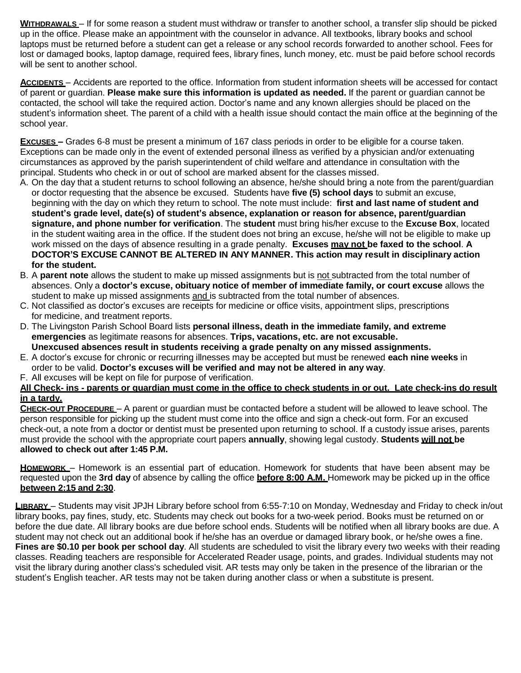**WITHDRAWALS** – If for some reason a student must withdraw or transfer to another school, a transfer slip should be picked up in the office. Please make an appointment with the counselor in advance. All textbooks, library books and school laptops must be returned before a student can get a release or any school records forwarded to another school. Fees for lost or damaged books, laptop damage, required fees, library fines, lunch money, etc. must be paid before school records will be sent to another school.

**ACCIDENTS** – Accidents are reported to the office. Information from student information sheets will be accessed for contact of parent or guardian. **Please make sure this information is updated as needed.** If the parent or guardian cannot be contacted, the school will take the required action. Doctor's name and any known allergies should be placed on the student's information sheet. The parent of a child with a health issue should contact the main office at the beginning of the school year.

**EXCUSES –** Grades 6-8 must be present a minimum of 167 class periods in order to be eligible for a course taken. Exceptions can be made only in the event of extended personal illness as verified by a physician and/or extenuating circumstances as approved by the parish superintendent of child welfare and attendance in consultation with the principal. Students who check in or out of school are marked absent for the classes missed.

- A. On the day that a student returns to school following an absence, he/she should bring a note from the parent/guardian or doctor requesting that the absence be excused. Students have **five (5) school days** to submit an excuse, beginning with the day on which they return to school. The note must include: **first and last name of student and student's grade level, date(s) of student's absence, explanation or reason for absence, parent/guardian signature, and phone number for verification**. The **student** must bring his/her excuse to the **Excuse Box**, located in the student waiting area in the office. If the student does not bring an excuse, he/she will not be eligible to make up work missed on the days of absence resulting in a grade penalty. **Excuses may not be faxed to the school**. **A DOCTOR'S EXCUSE CANNOT BE ALTERED IN ANY MANNER. This action may result in disciplinary action for the student.**
- B. A **parent note** allows the student to make up missed assignments but is not subtracted from the total number of absences. Only a **doctor's excuse, obituary notice of member of immediate family, or court excuse** allows the student to make up missed assignments and is subtracted from the total number of absences.
- C. Not classified as doctor's excuses are receipts for medicine or office visits, appointment slips, prescriptions for medicine, and treatment reports.
- D. The Livingston Parish School Board lists **personal illness, death in the immediate family, and extreme emergencies** as legitimate reasons for absences. **Trips, vacations, etc. are not excusable. Unexcused absences result in students receiving a grade penalty on any missed assignments.**
- E. A doctor's excuse for chronic or recurring illnesses may be accepted but must be renewed **each nine weeks** in order to be valid. **Doctor's excuses will be verified and may not be altered in any way**.
- F. All excuses will be kept on file for purpose of verification.

#### **All Check- ins - parents or guardian must come in the office to check students in or out. Late check-ins do result in a tardy.**

**CHECK-OUT PROCEDURE** – A parent or guardian must be contacted before a student will be allowed to leave school. The person responsible for picking up the student must come into the office and sign a check-out form. For an excused check-out, a note from a doctor or dentist must be presented upon returning to school. If a custody issue arises, parents must provide the school with the appropriate court papers **annually**, showing legal custody. **Students will not be allowed to check out after 1:45 P.M.** 

**HOMEWORK** – Homework is an essential part of education. Homework for students that have been absent may be requested upon the **3rd day** of absence by calling the office **before 8:00 A.M.** Homework may be picked up in the office **between 2:15 and 2:30**.

**LIBRARY** – Students may visit JPJH Library before school from 6:55-7:10 on Monday, Wednesday and Friday to check in/out library books, pay fines, study, etc. Students may check out books for a two-week period. Books must be returned on or before the due date. All library books are due before school ends. Students will be notified when all library books are due. A student may not check out an additional book if he/she has an overdue or damaged library book, or he/she owes a fine. **Fines are \$0.10 per book per school day**. All students are scheduled to visit the library every two weeks with their reading classes. Reading teachers are responsible for Accelerated Reader usage, points, and grades. Individual students may not visit the library during another class's scheduled visit. AR tests may only be taken in the presence of the librarian or the student's English teacher. AR tests may not be taken during another class or when a substitute is present.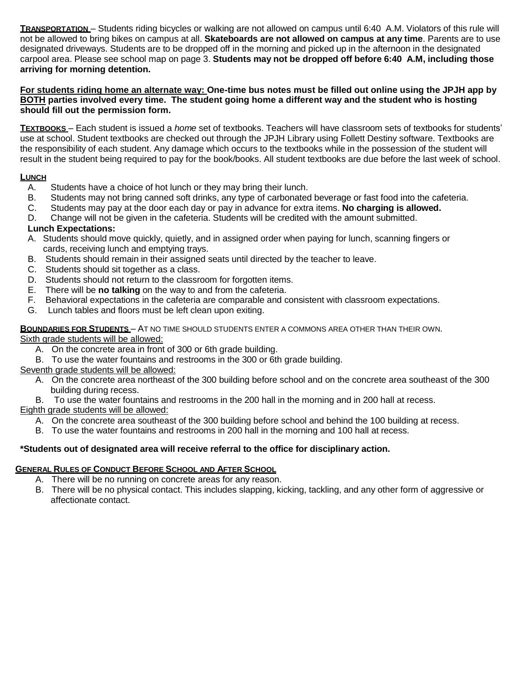**TRANSPORTATION** – Students riding bicycles or walking are not allowed on campus until 6:40 A.M. Violators of this rule will not be allowed to bring bikes on campus at all. **Skateboards are not allowed on campus at any time**. Parents are to use designated driveways. Students are to be dropped off in the morning and picked up in the afternoon in the designated carpool area. Please see school map on page 3. **Students may not be dropped off before 6:40 A.M, including those arriving for morning detention.**

#### **For students riding home an alternate way: One-time bus notes must be filled out online using the JPJH app by BOTH parties involved every time. The student going home a different way and the student who is hosting should fill out the permission form.**

**TEXTBOOKS** – Each student is issued a *home* set of textbooks. Teachers will have classroom sets of textbooks for students' use at school. Student textbooks are checked out through the JPJH Library using Follett Destiny software. Textbooks are the responsibility of each student. Any damage which occurs to the textbooks while in the possession of the student will result in the student being required to pay for the book/books. All student textbooks are due before the last week of school.

# **LUNCH**

- A. Students have a choice of hot lunch or they may bring their lunch.
- B. Students may not bring canned soft drinks, any type of carbonated beverage or fast food into the cafeteria.
- C. Students may pay at the door each day or pay in advance for extra items. **No charging is allowed.**
- D. Change will not be given in the cafeteria. Students will be credited with the amount submitted.

# **Lunch Expectations:**

- A. Students should move quickly, quietly, and in assigned order when paying for lunch, scanning fingers or cards, receiving lunch and emptying trays.
- B. Students should remain in their assigned seats until directed by the teacher to leave.
- C. Students should sit together as a class.
- D. Students should not return to the classroom for forgotten items.
- E. There will be **no talking** on the way to and from the cafeteria.
- F. Behavioral expectations in the cafeteria are comparable and consistent with classroom expectations.
- G. Lunch tables and floors must be left clean upon exiting.

# **BOUNDARIES FOR STUDENTS** – AT NO TIME SHOULD STUDENTS ENTER A COMMONS AREA OTHER THAN THEIR OWN.

Sixth grade students will be allowed:

- A. On the concrete area in front of 300 or 6th grade building.
- B. To use the water fountains and restrooms in the 300 or 6th grade building.

# Seventh grade students will be allowed:

A. On the concrete area northeast of the 300 building before school and on the concrete area southeast of the 300 building during recess.

B. To use the water fountains and restrooms in the 200 hall in the morning and in 200 hall at recess.

Eighth grade students will be allowed:

A. On the concrete area southeast of the 300 building before school and behind the 100 building at recess.

B. To use the water fountains and restrooms in 200 hall in the morning and 100 hall at recess.

# **\*Students out of designated area will receive referral to the office for disciplinary action.**

# **GENERAL RULES OF CONDUCT BEFORE SCHOOL AND AFTER SCHOOL**

- A. There will be no running on concrete areas for any reason.
- B. There will be no physical contact. This includes slapping, kicking, tackling, and any other form of aggressive or affectionate contact.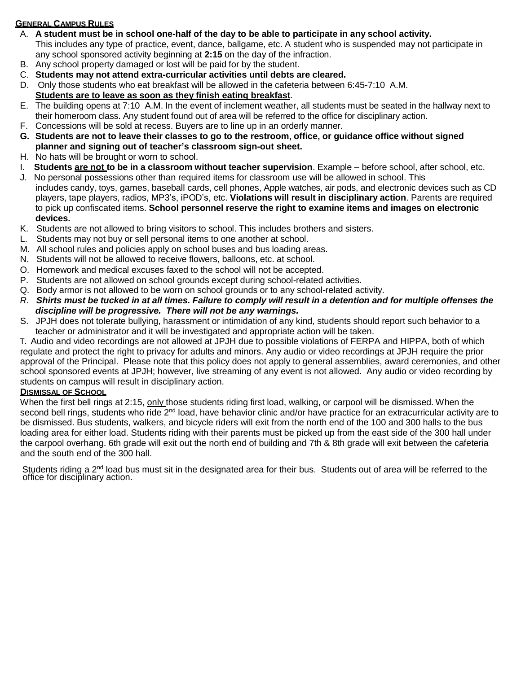# **GENERAL CAMPUS RULES**

- A. **A student must be in school one-half of the day to be able to participate in any school activity.** This includes any type of practice, event, dance, ballgame, etc. A student who is suspended may not participate in any school sponsored activity beginning at **2:15** on the day of the infraction.
- B. Any school property damaged or lost will be paid for by the student.
- C. **Students may not attend extra-curricular activities until debts are cleared.**
- D. Only those students who eat breakfast will be allowed in the cafeteria between 6:45-7:10 A.M.

# **Students are to leave as soon as they finish eating breakfast**.

- E. The building opens at 7:10 A.M. In the event of inclement weather, all students must be seated in the hallway next to their homeroom class. Any student found out of area will be referred to the office for disciplinary action.
- F. Concessions will be sold at recess. Buyers are to line up in an orderly manner.
- **G. Students are not to leave their classes to go to the restroom, office, or guidance office without signed planner and signing out of teacher's classroom sign-out sheet.**
- H. No hats will be brought or worn to school.
- I. **Students are not to be in a classroom without teacher supervision**. Example before school, after school, etc.
- J. No personal possessions other than required items for classroom use will be allowed in school. This includes candy, toys, games, baseball cards, cell phones, Apple watches, air pods, and electronic devices such as CD players, tape players, radios, MP3's, iPOD's, etc. **Violations will result in disciplinary action**. Parents are required to pick up confiscated items. **School personnel reserve the right to examine items and images on electronic devices.**
- K. Students are not allowed to bring visitors to school. This includes brothers and sisters.
- L. Students may not buy or sell personal items to one another at school.
- M. All school rules and policies apply on school buses and bus loading areas.
- N. Students will not be allowed to receive flowers, balloons, etc. at school.
- O. Homework and medical excuses faxed to the school will not be accepted.
- P. Students are not allowed on school grounds except during school-related activities.
- Q. Body armor is not allowed to be worn on school grounds or to any school-related activity.
- R. Shirts must be tucked in at all times. Failure to comply will result in a detention and for multiple offenses the *discipline will be progressive. There will not be any warnings.*
- S. JPJH does not tolerate bullying, harassment or intimidation of any kind, students should report such behavior to a teacher or administrator and it will be investigated and appropriate action will be taken.

T. Audio and video recordings are not allowed at JPJH due to possible violations of FERPA and HIPPA, both of which regulate and protect the right to privacy for adults and minors. Any audio or video recordings at JPJH require the prior approval of the Principal. Please note that this policy does not apply to general assemblies, award ceremonies, and other school sponsored events at JPJH; however, live streaming of any event is not allowed. Any audio or video recording by students on campus will result in disciplinary action.

#### **DISMISSAL OF SCHOOL**

When the first bell rings at 2:15, only those students riding first load, walking, or carpool will be dismissed. When the second bell rings, students who ride 2<sup>nd</sup> load, have behavior clinic and/or have practice for an extracurricular activity are to be dismissed. Bus students, walkers, and bicycle riders will exit from the north end of the 100 and 300 halls to the bus loading area for either load. Students riding with their parents must be picked up from the east side of the 300 hall under the carpool overhang. 6th grade will exit out the north end of building and 7th & 8th grade will exit between the cafeteria and the south end of the 300 hall.

Students riding a 2<sup>nd</sup> load bus must sit in the designated area for their bus. Students out of area will be referred to the office for disciplinary action.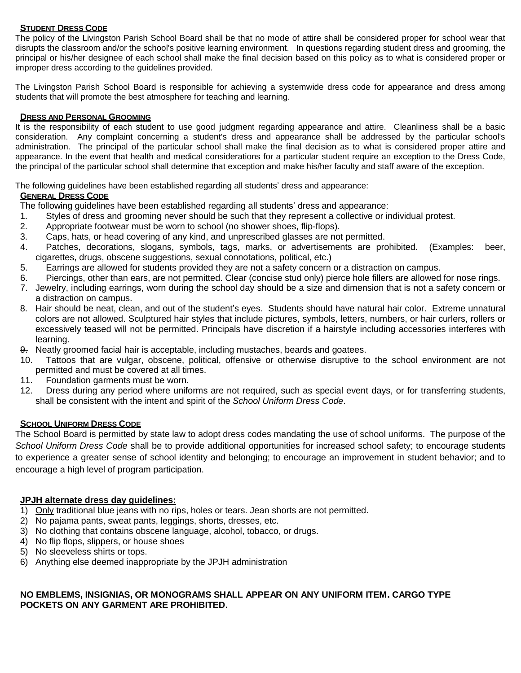### **STUDENT DRESS CODE**

The policy of the Livingston Parish School Board shall be that no mode of attire shall be considered proper for school wear that disrupts the classroom and/or the school's positive learning environment. In questions regarding student dress and grooming, the principal or his/her designee of each school shall make the final decision based on this policy as to what is considered proper or improper dress according to the guidelines provided.

The Livingston Parish School Board is responsible for achieving a systemwide dress code for appearance and dress among students that will promote the best atmosphere for teaching and learning.

### **DRESS AND PERSONAL GROOMING**

It is the responsibility of each student to use good judgment regarding appearance and attire. Cleanliness shall be a basic consideration. Any complaint concerning a student's dress and appearance shall be addressed by the particular school's administration. The principal of the particular school shall make the final decision as to what is considered proper attire and appearance. In the event that health and medical considerations for a particular student require an exception to the Dress Code, the principal of the particular school shall determine that exception and make his/her faculty and staff aware of the exception.

The following guidelines have been established regarding all students' dress and appearance:

### **GENERAL DRESS CODE**

The following guidelines have been established regarding all students' dress and appearance:

- 1. Styles of dress and grooming never should be such that they represent a collective or individual protest.
- 2. Appropriate footwear must be worn to school (no shower shoes, flip-flops).
- 3. Caps, hats, or head covering of any kind, and unprescribed glasses are not permitted.
- 4. Patches, decorations, slogans, symbols, tags, marks, or advertisements are prohibited. (Examples: beer, cigarettes, drugs, obscene suggestions, sexual connotations, political, etc.)
- 5. Earrings are allowed for students provided they are not a safety concern or a distraction on campus.
- 6. Piercings, other than ears, are not permitted. Clear (concise stud only) pierce hole fillers are allowed for nose rings.
- 7. Jewelry, including earrings, worn during the school day should be a size and dimension that is not a safety concern or a distraction on campus.
- 8. Hair should be neat, clean, and out of the student's eyes. Students should have natural hair color. Extreme unnatural colors are not allowed. Sculptured hair styles that include pictures, symbols, letters, numbers, or hair curlers, rollers or excessively teased will not be permitted. Principals have discretion if a hairstyle including accessories interferes with learning.
- 9. Neatly groomed facial hair is acceptable, including mustaches, beards and goatees.
- 10. Tattoos that are vulgar, obscene, political, offensive or otherwise disruptive to the school environment are not permitted and must be covered at all times.
- 11. Foundation garments must be worn.
- 12. Dress during any period where uniforms are not required, such as special event days, or for transferring students, shall be consistent with the intent and spirit of the *School Uniform Dress Code*.

#### **SCHOOL UNIFORM DRESS CODE**

The School Board is permitted by state law to adopt dress codes mandating the use of school uniforms. The purpose of the *School Uniform Dress Code* shall be to provide additional opportunities for increased school safety; to encourage students to experience a greater sense of school identity and belonging; to encourage an improvement in student behavior; and to encourage a high level of program participation.

# **JPJH alternate dress day guidelines:**

- 1) Only traditional blue jeans with no rips, holes or tears. Jean shorts are not permitted.
- 2) No pajama pants, sweat pants, leggings, shorts, dresses, etc.
- 3) No clothing that contains obscene language, alcohol, tobacco, or drugs.
- 4) No flip flops, slippers, or house shoes
- 5) No sleeveless shirts or tops.
- 6) Anything else deemed inappropriate by the JPJH administration

### **NO EMBLEMS, INSIGNIAS, OR MONOGRAMS SHALL APPEAR ON ANY UNIFORM ITEM. CARGO TYPE POCKETS ON ANY GARMENT ARE PROHIBITED.**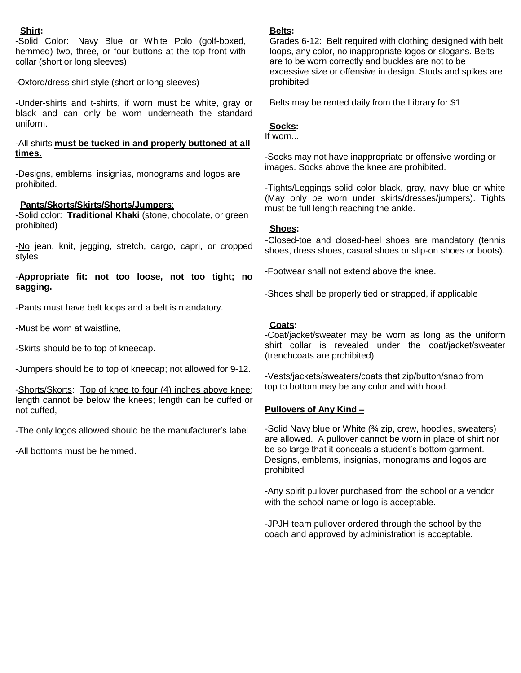#### **Shirt:**

-Solid Color: Navy Blue or White Polo (golf-boxed, hemmed) two, three, or four buttons at the top front with collar (short or long sleeves)

-Oxford/dress shirt style (short or long sleeves)

-Under-shirts and t-shirts, if worn must be white, gray or black and can only be worn underneath the standard uniform.

#### -All shirts **must be tucked in and properly buttoned at all times.**

-Designs, emblems, insignias, monograms and logos are prohibited.

### **Pants/Skorts/Skirts/Shorts/Jumpers**:

-Solid color: **Traditional Khaki** (stone, chocolate, or green prohibited)

-No jean, knit, jegging, stretch, cargo, capri, or cropped styles

-**Appropriate fit: not too loose, not too tight; no sagging.**

-Pants must have belt loops and a belt is mandatory.

-Must be worn at waistline,

-Skirts should be to top of kneecap.

-Jumpers should be to top of kneecap; not allowed for 9-12.

-Shorts/Skorts: Top of knee to four (4) inches above knee; length cannot be below the knees; length can be cuffed or not cuffed,

-The only logos allowed should be the manufacturer's label.

-All bottoms must be hemmed.

#### **Belts:**

Grades 6-12: Belt required with clothing designed with belt loops, any color, no inappropriate logos or slogans. Belts are to be worn correctly and buckles are not to be excessive size or offensive in design. Studs and spikes are prohibited

Belts may be rented daily from the Library for \$1

#### **Socks:**

If worn...

-Socks may not have inappropriate or offensive wording or images. Socks above the knee are prohibited.

-Tights/Leggings solid color black, gray, navy blue or white (May only be worn under skirts/dresses/jumpers). Tights must be full length reaching the ankle.

#### **Shoes:**

-Closed-toe and closed-heel shoes are mandatory (tennis shoes, dress shoes, casual shoes or slip-on shoes or boots).

-Footwear shall not extend above the knee.

-Shoes shall be properly tied or strapped, if applicable

#### **Coats:**

-Coat/jacket/sweater may be worn as long as the uniform shirt collar is revealed under the coat/jacket/sweater (trenchcoats are prohibited)

-Vests/jackets/sweaters/coats that zip/button/snap from top to bottom may be any color and with hood.

#### **Pullovers of Any Kind –**

-Solid Navy blue or White (¾ zip, crew, hoodies, sweaters) are allowed. A pullover cannot be worn in place of shirt nor be so large that it conceals a student's bottom garment. Designs, emblems, insignias, monograms and logos are prohibited

-Any spirit pullover purchased from the school or a vendor with the school name or logo is acceptable.

-JPJH team pullover ordered through the school by the coach and approved by administration is acceptable.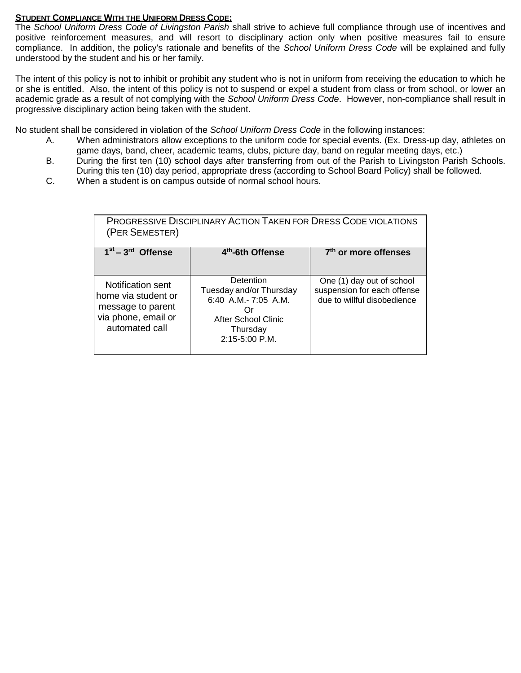#### **STUDENT COMPLIANCE WITH THE UNIFORM DRESS CODE:**

The *School Uniform Dress Code of Livingston Parish* shall strive to achieve full compliance through use of incentives and positive reinforcement measures, and will resort to disciplinary action only when positive measures fail to ensure compliance. In addition, the policy's rationale and benefits of the *School Uniform Dress Code* will be explained and fully understood by the student and his or her family.

The intent of this policy is not to inhibit or prohibit any student who is not in uniform from receiving the education to which he or she is entitled. Also, the intent of this policy is not to suspend or expel a student from class or from school, or lower an academic grade as a result of not complying with the *School Uniform Dress Code*. However, non-compliance shall result in progressive disciplinary action being taken with the student.

No student shall be considered in violation of the *School Uniform Dress Code* in the following instances:

- A. When administrators allow exceptions to the uniform code for special events. (Ex. Dress-up day, athletes on game days, band, cheer, academic teams, clubs, picture day, band on regular meeting days, etc.)
- B. During the first ten (10) school days after transferring from out of the Parish to Livingston Parish Schools. During this ten (10) day period, appropriate dress (according to School Board Policy) shall be followed.
- C. When a student is on campus outside of normal school hours.

| <b>PROGRESSIVE DISCIPLINARY ACTION TAKEN FOR DRESS CODE VIOLATIONS</b><br>(PER SEMESTER)               |                                                                                                                             |                                                                                         |  |  |  |  |
|--------------------------------------------------------------------------------------------------------|-----------------------------------------------------------------------------------------------------------------------------|-----------------------------------------------------------------------------------------|--|--|--|--|
| $1st - 3rd$<br><b>Offense</b>                                                                          | 4 <sup>th</sup> -6th Offense                                                                                                | 7 <sup>th</sup> or more offenses                                                        |  |  |  |  |
| Notification sent<br>home via student or<br>message to parent<br>via phone, email or<br>automated call | Detention<br>Tuesday and/or Thursday<br>6:40 A.M.- 7:05 A.M.<br>( )r<br>After School Clinic<br>Thursday<br>$2:15-5:00$ P.M. | One (1) day out of school<br>suspension for each offense<br>due to willful disobedience |  |  |  |  |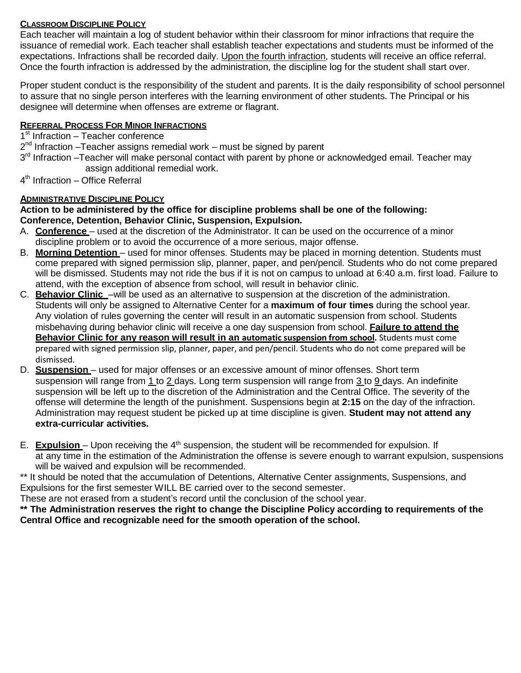# **CLASSROOM DISCIPLINE POLICY**

Each teacher will maintain a log of student behavior within their classroom for minor infractions that require the issuance of remedial work. Each teacher shall establish teacher expectations and students must be informed of the expectations. Infractions shall be recorded daily. Upon the fourth infraction, students will receive an office referral. Once the fourth infraction is addressed by the administration, the discipline log for the student shall start over.

Proper student conduct is the responsibility of the student and parents. It is the daily responsibility of school personnel to assure that no single person interferes with the learning environment of other students. The Principal or his designee will determine when offenses are extreme or flagrant.

# **REFERRAL PROCESS FOR MINOR INFRACTIONS**

1<sup>st</sup> Infraction - Teacher conference

2<sup>nd</sup> Infraction –Teacher assigns remedial work – must be signed by parent

- 3<sup>rd</sup> Infraction –Teacher will make personal contact with parent by phone or acknowledged email. Teacher may assign additional remedial work.
- 4<sup>th</sup> Infraction Office Referral

# **ADMINISTRATIVE DISCIPLINE POLICY**

**Action to be administered by the office for discipline problems shall be one of the following: Conference, Detention, Behavior Clinic, Suspension, Expulsion.**

- A. **Conference**  used at the discretion of the Administrator. It can be used on the occurrence of a minor discipline problem or to avoid the occurrence of a more serious, major offense.
- B. **Morning Detention** used for minor offenses. Students may be placed in morning detention. Students must come prepared with signed permission slip, planner, paper, and pen/pencil. Students who do not come prepared will be dismissed. Students may not ride the bus if it is not on campus to unload at 6:40 a.m. first load. Failure to attend, with the exception of absence from school, will result in behavior clinic.
- C. **Behavior Clinic** –will be used as an alternative to suspension at the discretion of the administration. Students will only be assigned to Alternative Center for a **maximum of four times** during the school year. Any violation of rules governing the center will result in an automatic suspension from school. Students misbehaving during behavior clinic will receive a one day suspension from school. **Failure to attend the Behavior Clinic for any reason will result in an automatic suspension from school.** Students must come prepared with signed permission slip, planner, paper, and pen/pencil. Students who do not come prepared will be dismissed.
- D. **Suspension**  used for major offenses or an excessive amount of minor offenses. Short term suspension will range from 1 to 2 days. Long term suspension will range from 3 to 9 days. An indefinite suspension will be left up to the discretion of the Administration and the Central Office. The severity of the offense will determine the length of the punishment. Suspensions begin at **2:15** on the day of the infraction. Administration may request student be picked up at time discipline is given. **Student may not attend any extra-curricular activities.**
- E. **Expulsion** Upon receiving the 4<sup>th</sup> suspension, the student will be recommended for expulsion. If at any time in the estimation of the Administration the offense is severe enough to warrant expulsion, suspensions will be waived and expulsion will be recommended.

\*\* It should be noted that the accumulation of Detentions, Alternative Center assignments, Suspensions, and Expulsions for the first semester WILL BE carried over to the second semester.

These are not erased from a student's record until the conclusion of the school year.

**\*\* The Administration reserves the right to change the Discipline Policy according to requirements of the Central Office and recognizable need for the smooth operation of the school.**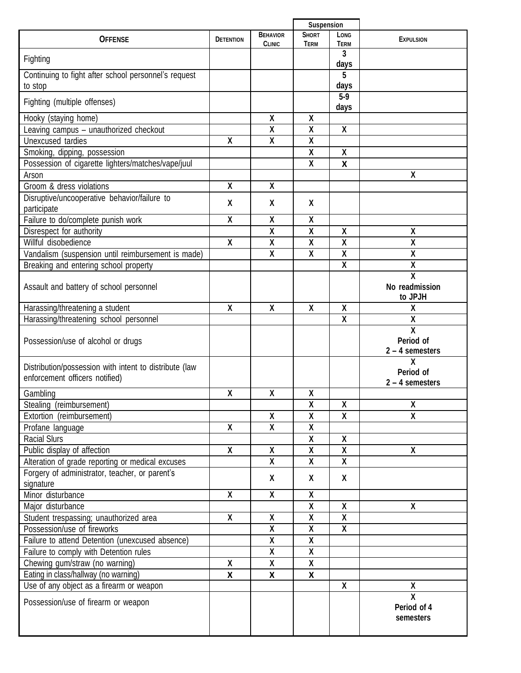|                                                                                          | <b>Suspension</b>       |                                  |                                         |                                         |                                                           |
|------------------------------------------------------------------------------------------|-------------------------|----------------------------------|-----------------------------------------|-----------------------------------------|-----------------------------------------------------------|
| <b>OFFENSE</b>                                                                           | <b>DETENTION</b>        | <b>BEHAVIOR</b><br><b>CLINIC</b> | <b>SHORT</b><br><b>TERM</b>             | LONG<br><b>TERM</b>                     | <b>EXPULSION</b>                                          |
| Fighting                                                                                 |                         |                                  |                                         | 3<br>days                               |                                                           |
| Continuing to fight after school personnel's request                                     |                         |                                  |                                         | 5                                       |                                                           |
| to stop                                                                                  |                         |                                  |                                         | days                                    |                                                           |
| Fighting (multiple offenses)                                                             |                         |                                  |                                         | $5-9$                                   |                                                           |
|                                                                                          |                         |                                  |                                         | days                                    |                                                           |
| Hooky (staying home)                                                                     |                         | χ                                | X                                       |                                         |                                                           |
| Leaving campus - unauthorized checkout                                                   |                         | X                                | $\overline{\mathbf{X}}$                 | X                                       |                                                           |
| Unexcused tardies                                                                        | X                       | χ                                | χ                                       |                                         |                                                           |
| Smoking, dipping, possession                                                             |                         |                                  | χ                                       | χ                                       |                                                           |
| Possession of cigarette lighters/matches/vape/juul                                       |                         |                                  | X                                       | X                                       |                                                           |
| Arson                                                                                    |                         |                                  |                                         |                                         | χ                                                         |
| Groom & dress violations                                                                 | χ                       | χ                                |                                         |                                         |                                                           |
| Disruptive/uncooperative behavior/failure to                                             | χ                       | χ                                | X                                       |                                         |                                                           |
| participate                                                                              |                         |                                  |                                         |                                         |                                                           |
| Failure to do/complete punish work                                                       | X                       | X                                | $\mathsf{X}$                            |                                         |                                                           |
| Disrespect for authority<br>Willful disobedience                                         | χ                       | χ<br>$\overline{\mathbf{X}}$     | $\pmb{\chi}$<br>$\overline{\mathbf{X}}$ | $\pmb{\chi}$<br>χ                       | χ<br>$\overline{\mathbf{X}}$                              |
|                                                                                          |                         |                                  |                                         |                                         |                                                           |
| Vandalism (suspension until reimbursement is made)                                       |                         | X                                | $\pmb{\chi}$                            | $\pmb{\chi}$<br>$\overline{\mathbf{X}}$ | χ                                                         |
| Breaking and entering school property                                                    |                         |                                  |                                         |                                         | χ<br>$\overline{\mathsf{x}}$                              |
| Assault and battery of school personnel                                                  |                         |                                  |                                         |                                         | No readmission<br>to JPJH                                 |
| Harassing/threatening a student                                                          | X                       | X                                | $\boldsymbol{X}$                        | $\boldsymbol{X}$                        | χ                                                         |
| Harassing/threatening school personnel                                                   |                         |                                  |                                         | χ                                       | χ                                                         |
| Possession/use of alcohol or drugs                                                       |                         |                                  |                                         |                                         | $\overline{\mathsf{x}}$<br>Period of<br>$2 - 4$ semesters |
| Distribution/possession with intent to distribute (law<br>enforcement officers notified) |                         |                                  |                                         |                                         | χ<br>Period of<br>$2 - 4$ semesters                       |
| Gambling                                                                                 | X                       | χ                                | χ                                       |                                         |                                                           |
| Stealing (reimbursement)                                                                 |                         |                                  | $\overline{\mathbf{X}}$                 | $\pmb{\mathsf{X}}$                      | χ                                                         |
| Extortion (reimbursement)                                                                |                         | χ                                | $\overline{\mathbf{X}}$                 | $\mathsf{X}$                            | X                                                         |
| Profane language                                                                         | X                       | $\overline{\mathbf{X}}$          | χ                                       |                                         |                                                           |
| <b>Racial Slurs</b>                                                                      |                         |                                  | $\mathsf{X}$                            | X                                       |                                                           |
| Public display of affection                                                              | X                       | χ                                | $\pmb{\chi}$                            | $\pmb{\chi}$                            | X                                                         |
| Alteration of grade reporting or medical excuses                                         |                         | $\overline{\mathbf{X}}$          | $\overline{\mathbf{X}}$                 | $\overline{\mathbf{X}}$                 |                                                           |
| Forgery of administrator, teacher, or parent's<br>signature                              |                         | Χ                                | X                                       | X                                       |                                                           |
| Minor disturbance                                                                        | $\overline{\mathsf{X}}$ | $\overline{\mathbf{X}}$          | X                                       |                                         |                                                           |
| Major disturbance                                                                        |                         |                                  | $\mathsf{X}$                            | X                                       | X                                                         |
| Student trespassing; unauthorized area                                                   | X                       | χ                                | $\pmb{\mathsf{X}}$                      | $\pmb{\mathsf{X}}$                      |                                                           |
| Possession/use of fireworks                                                              |                         | $\pmb{\mathsf{X}}$               | $\pmb{\mathsf{X}}$                      | $\boldsymbol{\mathsf{X}}$               |                                                           |
| Failure to attend Detention (unexcused absence)                                          |                         | X                                | $\overline{\mathbf{X}}$                 |                                         |                                                           |
| Failure to comply with Detention rules                                                   |                         | $\overline{\mathbf{X}}$          | $\overline{\mathbf{X}}$                 |                                         |                                                           |
| Chewing gum/straw (no warning)                                                           | χ                       | $\boldsymbol{\mathsf{X}}$        | $\mathsf{X}$                            |                                         |                                                           |
| Eating in class/hallway (no warning)                                                     | X                       | X                                | X                                       |                                         |                                                           |
| Use of any object as a firearm or weapon                                                 |                         |                                  |                                         | X                                       | χ                                                         |
| Possession/use of firearm or weapon                                                      |                         |                                  |                                         |                                         | $\overline{\mathsf{x}}$<br>Period of 4<br>semesters       |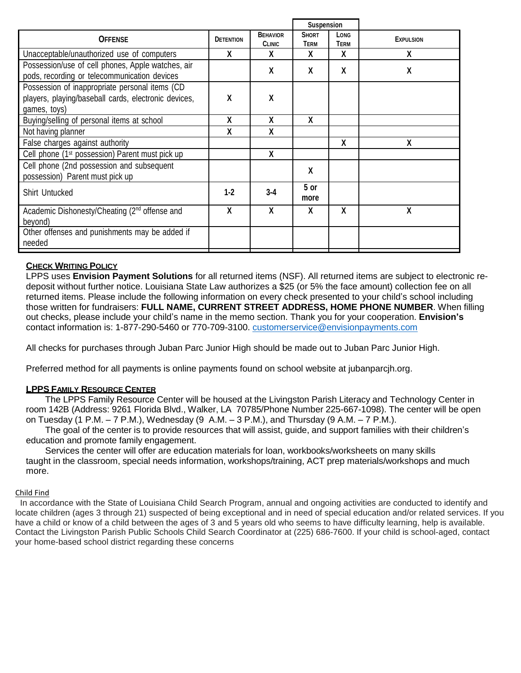|                                                                                                                        |                  |                                  | Suspension                  |                     |                  |
|------------------------------------------------------------------------------------------------------------------------|------------------|----------------------------------|-----------------------------|---------------------|------------------|
| <b>OFFENSE</b>                                                                                                         | <b>DETENTION</b> | <b>BEHAVIOR</b><br><b>CLINIC</b> | <b>SHORT</b><br><b>TERM</b> | Long<br><b>TERM</b> | <b>EXPULSION</b> |
| Unacceptable/unauthorized use of computers                                                                             | X                | χ                                | X                           | X                   | X                |
| Possession/use of cell phones, Apple watches, air<br>pods, recording or telecommunication devices                      |                  | X                                | X                           | X                   | χ                |
| Possession of inappropriate personal items (CD<br>players, playing/baseball cards, electronic devices,<br>games, toys) | X                | χ                                |                             |                     |                  |
| Buying/selling of personal items at school                                                                             | χ                | χ                                | X                           |                     |                  |
| Not having planner                                                                                                     | χ                | χ                                |                             |                     |                  |
| False charges against authority                                                                                        |                  |                                  |                             | χ                   | χ                |
| Cell phone (1 <sup>st</sup> possession) Parent must pick up                                                            |                  | X                                |                             |                     |                  |
| Cell phone (2nd possession and subsequent<br>possession) Parent must pick up                                           |                  |                                  | X                           |                     |                  |
| <b>Shirt Untucked</b>                                                                                                  | $1 - 2$          | $3 - 4$                          | 5 or<br>more                |                     |                  |
| Academic Dishonesty/Cheating (2 <sup>nd</sup> offense and<br>beyond)                                                   | X                | X                                | X                           | X                   | X                |
| Other offenses and punishments may be added if<br>needed                                                               |                  |                                  |                             |                     |                  |

# **CHECK WRITING POLICY**

LPPS uses **Envision Payment Solutions** for all returned items (NSF). All returned items are subject to electronic redeposit without further notice. Louisiana State Law authorizes a \$25 (or 5% the face amount) collection fee on all returned items. Please include the following information on every check presented to your child's school including those written for fundraisers: **FULL NAME, CURRENT STREET ADDRESS, HOME PHONE NUMBER**. When filling out checks, please include your child's name in the memo section. Thank you for your cooperation. **Envision's** contact information is: 1-877-290-5460 or 770-709-3100. [customerservice@envisionpayments.com](mailto:customerservice@envisionpayments.com)

All checks for purchases through Juban Parc Junior High should be made out to Juban Parc Junior High.

Preferred method for all payments is online payments found on school website at jubanparcjh.org.

#### **LPPS FAMILY RESOURCE CENTER**

The LPPS Family Resource Center will be housed at the Livingston Parish Literacy and Technology Center in room 142B (Address: 9261 Florida Blvd., Walker, LA 70785/Phone Number 225-667-1098). The center will be open on Tuesday (1 P.M.  $-7$  P.M.), Wednesday (9 A.M.  $-3$  P.M.), and Thursday (9 A.M.  $-7$  P.M.).

The goal of the center is to provide resources that will assist, guide, and support families with their children's education and promote family engagement.

Services the center will offer are education materials for loan, workbooks/worksheets on many skills taught in the classroom, special needs information, workshops/training, ACT prep materials/workshops and much more.

#### Child Find

In accordance with the State of Louisiana Child Search Program, annual and ongoing activities are conducted to identify and locate children (ages 3 through 21) suspected of being exceptional and in need of special education and/or related services. If you have a child or know of a child between the ages of 3 and 5 years old who seems to have difficulty learning, help is available. Contact the Livingston Parish Public Schools Child Search Coordinator at (225) 686-7600. If your child is school-aged, contact your home-based school district regarding these concerns